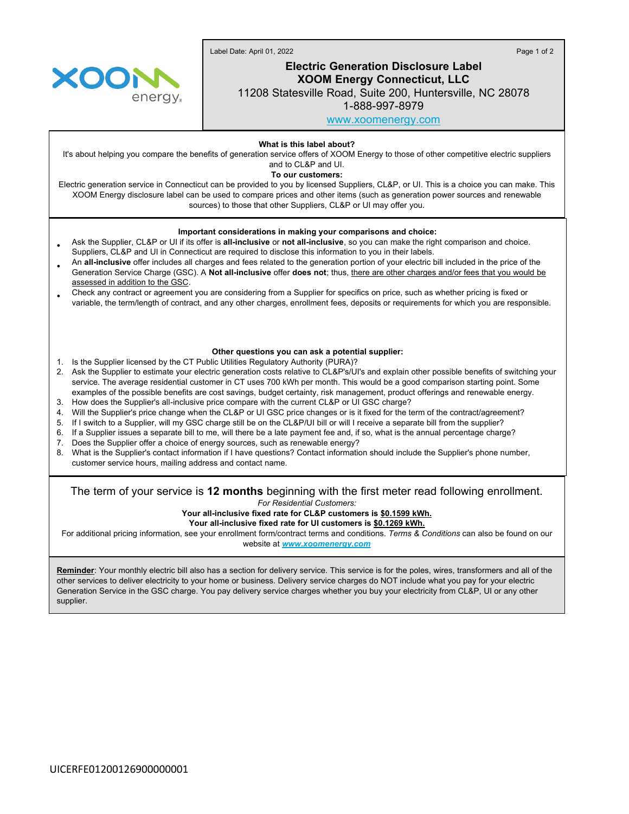Label Date: April 01, 2022 Page 1 of 2



# **Electric Generation Disclosure Label XOOM Energy Connecticut, LLC**

11208 Statesville Road, Suite 200, Huntersville, NC 28078

1-888-997-8979

[www.xoomenergy.com](http://www.xoomenergy.com)

**What is this label about?**

It's about helping you compare the benefits of generation service offers of XOOM Energy to those of other competitive electric suppliers and to CL&P and UI.

**To our customers:**

Electric generation service in Connecticut can be provided to you by licensed Suppliers, CL&P, or UI. This is a choice you can make. This XOOM Energy disclosure label can be used to compare prices and other items (such as generation power sources and renewable sources) to those that other Suppliers, CL&P or UI may offer you.

### **Important considerations in making your comparisons and choice:**

- Ask the Supplier, CL&P or UI if its offer is **all-inclusive** or **not all-inclusive**, so you can make the right comparison and choice. Suppliers, CL&P and UI in Connecticut are required to disclose this information to you in their labels.
- An **all-inclusive** offer includes all charges and fees related to the generation portion of your electric bill included in the price of the Generation Service Charge (GSC). A **Not all-inclusive** offer **does not**; thus, there are other charges and/or fees that you would be assessed in addition to the GSC.
- Check any contract or agreement you are considering from a Supplier for specifics on price, such as whether pricing is fixed or variable, the term/length of contract, and any other charges, enrollment fees, deposits or requirements for which you are responsible.

#### **Other questions you can ask a potential supplier:**

- 1. Is the Supplier licensed by the CT Public Utilities Regulatory Authority (PURA)?
- 2. Ask the Supplier to estimate your electric generation costs relative to CL&P's/UI's and explain other possible benefits of switching your service. The average residential customer in CT uses 700 kWh per month. This would be a good comparison starting point. Some examples of the possible benefits are cost savings, budget certainty, risk management, product offerings and renewable energy.
- 3. How does the Supplier's all-inclusive price compare with the current CL&P or UI GSC charge?
- 4. Will the Supplier's price change when the CL&P or UI GSC price changes or is it fixed for the term of the contract/agreement?
- 5. If I switch to a Supplier, will my GSC charge still be on the CL&P/UI bill or will I receive a separate bill from the supplier?
- 6. If a Supplier issues a separate bill to me, will there be a late payment fee and, if so, what is the annual percentage charge?
- 7. Does the Supplier offer a choice of energy sources, such as renewable energy?
- 8. What is the Supplier's contact information if I have questions? Contact information should include the Supplier's phone number, customer service hours, mailing address and contact name.

## The term of your service is **12 months** beginning with the first meter read following enrollment.

*For Residential Customers:*

**Your all-inclusive fixed rate for CL&P customers is \$0.1599 kWh.**

**Your all-inclusive fixed rate for UI customers is \$0.1269 kWh.**

For additional pricing information, see your enrollment form/contract terms and conditions. *Terms & Conditions* can also be found on our website at *[www.xoomenergy.com](http://www.xoomenergy.com/)*

**Reminder**: Your monthly electric bill also has a section for delivery service. This service is for the poles, wires, transformers and all of the other services to deliver electricity to your home or business. Delivery service charges do NOT include what you pay for your electric Generation Service in the GSC charge. You pay delivery service charges whether you buy your electricity from CL&P, UI or any other supplier.